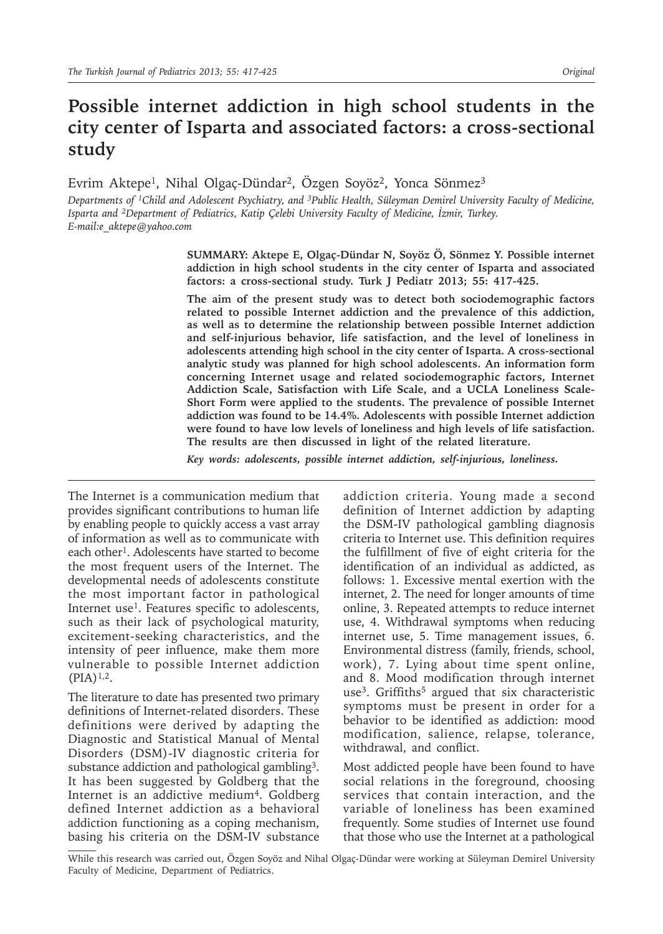# **Possible internet addiction in high school students in the city center of Isparta and associated factors: a cross-sectional study**

Evrim Aktepe<sup>1</sup>, Nihal Olgaç-Dündar<sup>2</sup>, Özgen Soyöz<sup>2</sup>, Yonca Sönmez<sup>3</sup>

*Departments of 1Child and Adolescent Psychiatry, and 3Public Health, Süleyman Demirel University Faculty of Medicine, Isparta and 2Department of Pediatrics, Katip Çelebi University Faculty of Medicine, İzmir, Turkey. E-mail:e\_aktepe@yahoo.com*

> **SUMMARY: Aktepe E, Olgaç-Dündar N, Soyöz Ö, Sönmez Y. Possible internet addiction in high school students in the city center of Isparta and associated factors: a cross-sectional study. Turk J Pediatr 2013; 55: 417-425.**

> **The aim of the present study was to detect both sociodemographic factors related to possible Internet addiction and the prevalence of this addiction, as well as to determine the relationship between possible Internet addiction and self-injurious behavior, life satisfaction, and the level of loneliness in adolescents attending high school in the city center of Isparta. A cross-sectional analytic study was planned for high school adolescents. An information form concerning Internet usage and related sociodemographic factors, Internet Addiction Scale, Satisfaction with Life Scale, and a UCLA Loneliness Scale-Short Form were applied to the students. The prevalence of possible Internet addiction was found to be 14.4%. Adolescents with possible Internet addiction were found to have low levels of loneliness and high levels of life satisfaction. The results are then discussed in light of the related literature.**

*Key words: adolescents, possible internet addiction, self-injurious, loneliness.*

The Internet is a communication medium that provides significant contributions to human life by enabling people to quickly access a vast array of information as well as to communicate with each other<sup>1</sup>. Adolescents have started to become the most frequent users of the Internet. The developmental needs of adolescents constitute the most important factor in pathological Internet use<sup>1</sup>. Features specific to adolescents, such as their lack of psychological maturity, excitement-seeking characteristics, and the intensity of peer influence, make them more vulnerable to possible Internet addiction  $(PIA)^{1,2}.$ 

The literature to date has presented two primary definitions of Internet-related disorders. These definitions were derived by adapting the Diagnostic and Statistical Manual of Mental Disorders (DSM)-IV diagnostic criteria for substance addiction and pathological gambling<sup>3</sup>. It has been suggested by Goldberg that the Internet is an addictive medium<sup>4</sup>. Goldberg defined Internet addiction as a behavioral addiction functioning as a coping mechanism, basing his criteria on the DSM-IV substance

addiction criteria. Young made a second definition of Internet addiction by adapting the DSM-IV pathological gambling diagnosis criteria to Internet use. This definition requires the fulfillment of five of eight criteria for the identification of an individual as addicted, as follows: 1. Excessive mental exertion with the internet, 2. The need for longer amounts of time online, 3. Repeated attempts to reduce internet use, 4. Withdrawal symptoms when reducing internet use, 5. Time management issues, 6. Environmental distress (family, friends, school, work), 7. Lying about time spent online, and 8. Mood modification through internet use<sup>3</sup>. Griffiths<sup>5</sup> argued that six characteristic symptoms must be present in order for a behavior to be identified as addiction: mood modification, salience, relapse, tolerance, withdrawal, and conflict.

Most addicted people have been found to have social relations in the foreground, choosing services that contain interaction, and the variable of loneliness has been examined frequently. Some studies of Internet use found that those who use the Internet at a pathological

While this research was carried out, Özgen Soyöz and Nihal Olgaç-Dündar were working at Süleyman Demirel University Faculty of Medicine, Department of Pediatrics.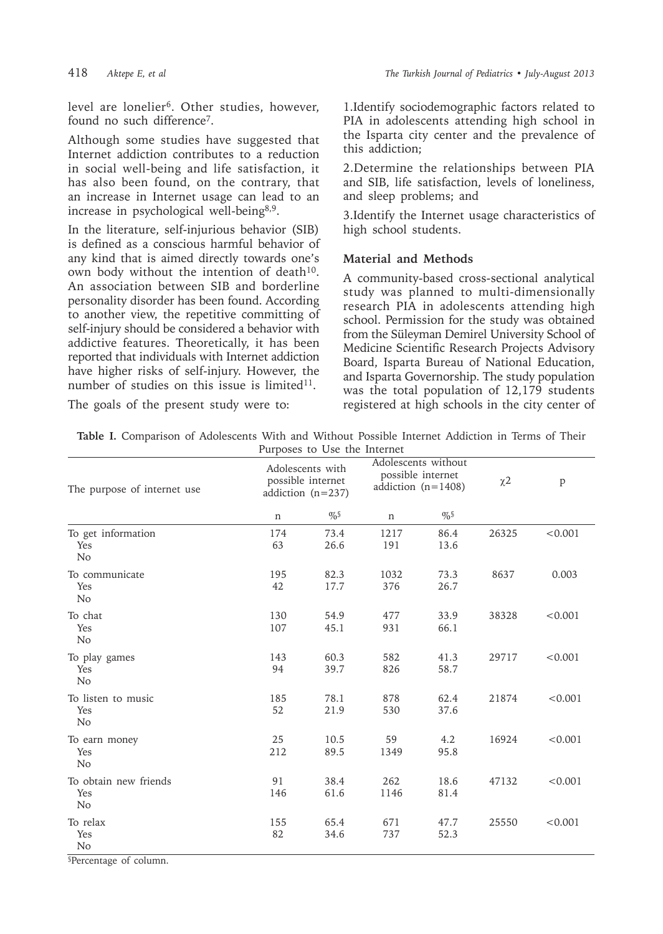level are lonelier<sup>6</sup>. Other studies, however, found no such difference7.

Although some studies have suggested that Internet addiction contributes to a reduction in social well-being and life satisfaction, it has also been found, on the contrary, that an increase in Internet usage can lead to an increase in psychological well-being8,9.

In the literature, self-injurious behavior (SIB) is defined as a conscious harmful behavior of any kind that is aimed directly towards one's own body without the intention of death<sup>10</sup>. An association between SIB and borderline personality disorder has been found. According to another view, the repetitive committing of self-injury should be considered a behavior with addictive features. Theoretically, it has been reported that individuals with Internet addiction have higher risks of self-injury. However, the number of studies on this issue is limited $11$ .

1.Identify sociodemographic factors related to PIA in adolescents attending high school in the Isparta city center and the prevalence of this addiction;

2.Determine the relationships between PIA and SIB, life satisfaction, levels of loneliness, and sleep problems; and

3.Identify the Internet usage characteristics of high school students.

# **Material and Methods**

A community-based cross-sectional analytical study was planned to multi-dimensionally research PIA in adolescents attending high school. Permission for the study was obtained from the Süleyman Demirel University School of Medicine Scientific Research Projects Advisory Board, Isparta Bureau of National Education, and Isparta Governorship. The study population was the total population of 12,179 students registered at high schools in the city center of

The goals of the present study were to:

|                              |  | Table I. Comparison of Adolescents With and Without Possible Internet Addiction in Terms of Their |  |  |  |  |  |  |  |  |  |  |  |  |
|------------------------------|--|---------------------------------------------------------------------------------------------------|--|--|--|--|--|--|--|--|--|--|--|--|
| Purposes to Use the Internet |  |                                                                                                   |  |  |  |  |  |  |  |  |  |  |  |  |

| The purpose of internet use                    | Adolescents with<br>possible internet<br>addiction $(n=237)$ |              | r arposes to see the internet<br>Adolescents without<br>possible internet<br>addiction $(n=1408)$ |              | $\chi$ 2 | $\, {\bf p}$ |
|------------------------------------------------|--------------------------------------------------------------|--------------|---------------------------------------------------------------------------------------------------|--------------|----------|--------------|
|                                                | $\mathbf n$                                                  | $\%$         | n                                                                                                 | $\%$         |          |              |
| To get information<br>Yes<br>N <sub>o</sub>    | 174<br>63                                                    | 73.4<br>26.6 | 1217<br>191                                                                                       | 86.4<br>13.6 | 26325    | < 0.001      |
| To communicate<br>Yes<br>N <sub>o</sub>        | 195<br>42                                                    | 82.3<br>17.7 | 1032<br>376                                                                                       | 73.3<br>26.7 | 8637     | 0.003        |
| To chat<br>Yes<br>No                           | 130<br>107                                                   | 54.9<br>45.1 | 477<br>931                                                                                        | 33.9<br>66.1 | 38328    | < 0.001      |
| To play games<br>Yes<br>N <sub>o</sub>         | 143<br>94                                                    | 60.3<br>39.7 | 582<br>826                                                                                        | 41.3<br>58.7 | 29717    | < 0.001      |
| To listen to music<br>Yes<br>N <sub>o</sub>    | 185<br>52                                                    | 78.1<br>21.9 | 878<br>530                                                                                        | 62.4<br>37.6 | 21874    | < 0.001      |
| To earn money<br>Yes<br>N <sub>o</sub>         | 25<br>212                                                    | 10.5<br>89.5 | 59<br>1349                                                                                        | 4.2<br>95.8  | 16924    | < 0.001      |
| To obtain new friends<br>Yes<br>N <sub>o</sub> | 91<br>146                                                    | 38.4<br>61.6 | 262<br>1146                                                                                       | 18.6<br>81.4 | 47132    | < 0.001      |
| To relax<br>Yes<br>N <sub>o</sub>              | 155<br>82                                                    | 65.4<br>34.6 | 671<br>737                                                                                        | 47.7<br>52.3 | 25550    | < 0.001      |

§Percentage of column.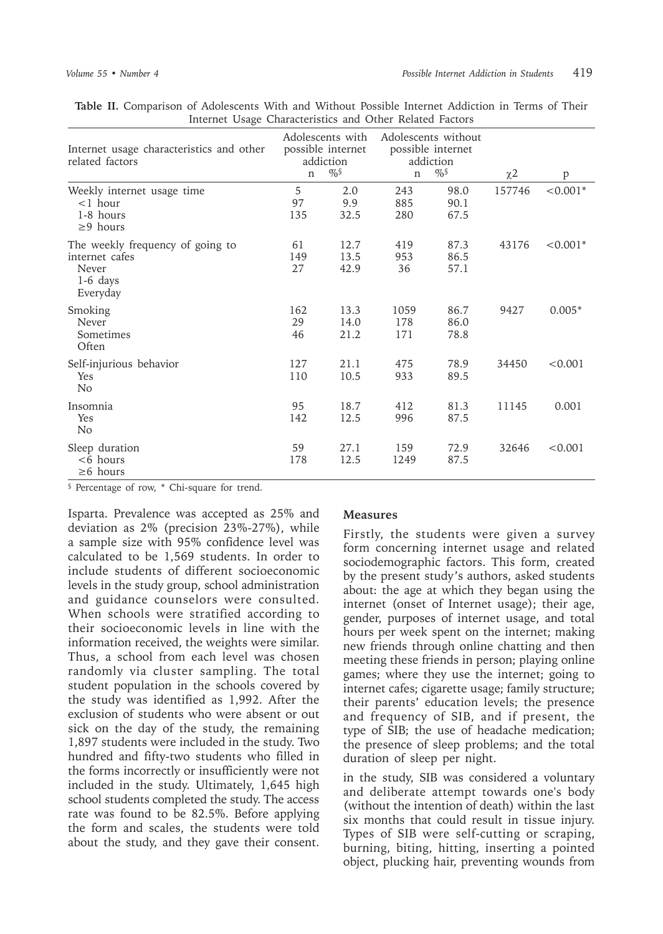| memet Coage Characteriotics and Cther Refuted Factors                                 |                                                                           |                      |                                                                              |                      |                     |            |
|---------------------------------------------------------------------------------------|---------------------------------------------------------------------------|----------------------|------------------------------------------------------------------------------|----------------------|---------------------|------------|
| Internet usage characteristics and other<br>related factors                           | Adolescents with<br>possible internet<br>addiction<br>$\%$<br>$\mathbf n$ |                      | Adolescents without<br>possible internet<br>addiction<br>$\%$<br>$\mathbf n$ |                      | $\chi$ <sup>2</sup> | p          |
| Weekly internet usage time<br>$<$ 1 hour<br>1-8 hours<br>$\geq$ 9 hours               | 5<br>97<br>135                                                            | 2.0<br>9.9<br>32.5   | 243<br>885<br>280                                                            | 98.0<br>90.1<br>67.5 | 157746              | $< 0.001*$ |
| The weekly frequency of going to<br>internet cafes<br>Never<br>$1-6$ days<br>Everyday | 61<br>149<br>27                                                           | 12.7<br>13.5<br>42.9 | 419<br>953<br>36                                                             | 87.3<br>86.5<br>57.1 | 43176               | $< 0.001*$ |
| Smoking<br>Never<br>Sometimes<br>Often                                                | 162<br>29<br>46                                                           | 13.3<br>14.0<br>21.2 | 1059<br>178<br>171                                                           | 86.7<br>86.0<br>78.8 | 9427                | $0.005*$   |
| Self-injurious behavior<br>Yes<br>No                                                  | 127<br>110                                                                | 21.1<br>10.5         | 475<br>933                                                                   | 78.9<br>89.5         | 34450               | < 0.001    |
| Insomnia<br>Yes<br>N <sub>o</sub>                                                     | 95<br>142                                                                 | 18.7<br>12.5         | 412<br>996                                                                   | 81.3<br>87.5         | 11145               | 0.001      |
| Sleep duration<br>$<6$ hours<br>$\geq 6$ hours                                        | 59<br>178                                                                 | 27.1<br>12.5         | 159<br>1249                                                                  | 72.9<br>87.5         | 32646               | < 0.001    |

**Table II.** Comparison of Adolescents With and Without Possible Internet Addiction in Terms of Their Internet Usage Characteristics and Other Related Factors

§ Percentage of row, \* Chi-square for trend.

Isparta. Prevalence was accepted as 25% and deviation as 2% (precision 23%-27%), while a sample size with 95% confidence level was calculated to be 1,569 students. In order to include students of different socioeconomic levels in the study group, school administration and guidance counselors were consulted. When schools were stratified according to their socioeconomic levels in line with the information received, the weights were similar. Thus, a school from each level was chosen randomly via cluster sampling. The total student population in the schools covered by the study was identified as 1,992. After the exclusion of students who were absent or out sick on the day of the study, the remaining 1,897 students were included in the study. Two hundred and fifty-two students who filled in the forms incorrectly or insufficiently were not included in the study. Ultimately, 1,645 high school students completed the study. The access rate was found to be 82.5%. Before applying the form and scales, the students were told about the study, and they gave their consent.

### **Measures**

Firstly, the students were given a survey form concerning internet usage and related sociodemographic factors. This form, created by the present study's authors, asked students about: the age at which they began using the internet (onset of Internet usage); their age, gender, purposes of internet usage, and total hours per week spent on the internet; making new friends through online chatting and then meeting these friends in person; playing online games; where they use the internet; going to internet cafes; cigarette usage; family structure; their parents' education levels; the presence and frequency of SIB, and if present, the type of SIB; the use of headache medication; the presence of sleep problems; and the total duration of sleep per night.

in the study, SIB was considered a voluntary and deliberate attempt towards one's body (without the intention of death) within the last six months that could result in tissue injury. Types of SIB were self-cutting or scraping, burning, biting, hitting, inserting a pointed object, plucking hair, preventing wounds from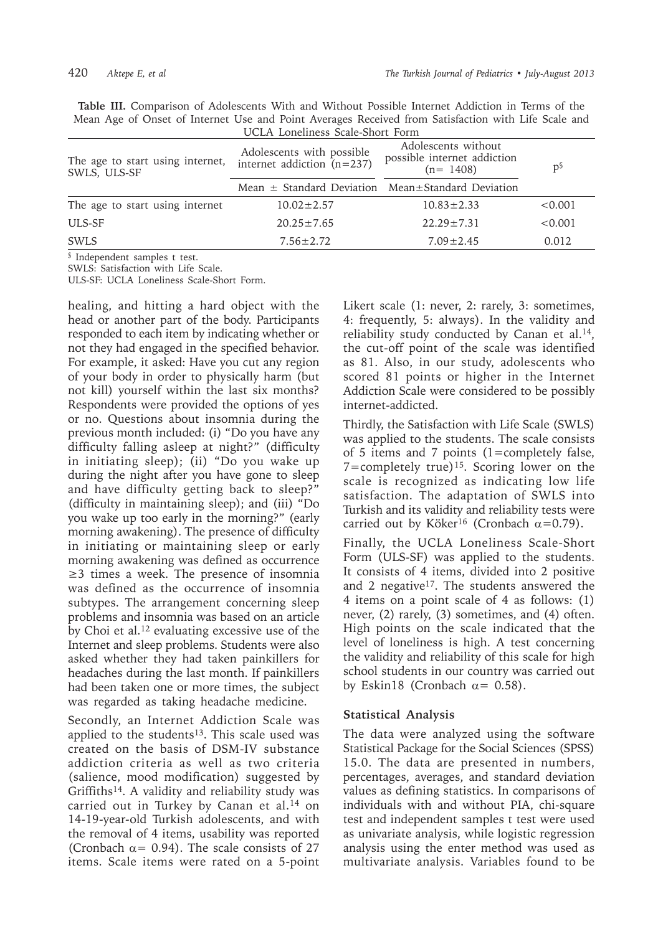**Table III.** Comparison of Adolescents With and Without Possible Internet Addiction in Terms of the Mean Age of Onset of Internet Use and Point Averages Received from Satisfaction with Life Scale and UCLA Loneliness Scale-Short Form

| The age to start using internet,<br>SWLS, ULS-SF | Adolescents with possible<br>internet addiction $(n=237)$   | Adolescents without<br>possible internet addiction<br>$(n=1408)$ | $p^{\S}$ |  |
|--------------------------------------------------|-------------------------------------------------------------|------------------------------------------------------------------|----------|--|
|                                                  | Mean $\pm$ Standard Deviation Mean $\pm$ Standard Deviation |                                                                  |          |  |
| The age to start using internet                  | $10.02 \pm 2.57$                                            | $10.83 \pm 2.33$                                                 | < 0.001  |  |
| ULS-SF                                           | $20.25 \pm 7.65$                                            | $22.29 \pm 7.31$                                                 | < 0.001  |  |
| <b>SWLS</b>                                      | $7.56 \pm 2.72$                                             | $7.09 \pm 2.45$                                                  | 0.012    |  |

§ Independent samples t test.

SWLS: Satisfaction with Life Scale.

ULS-SF: UCLA Loneliness Scale-Short Form.

healing, and hitting a hard object with the head or another part of the body. Participants responded to each item by indicating whether or not they had engaged in the specified behavior. For example, it asked: Have you cut any region of your body in order to physically harm (but not kill) yourself within the last six months? Respondents were provided the options of yes or no. Questions about insomnia during the previous month included: (i) "Do you have any difficulty falling asleep at night?" (difficulty in initiating sleep); (ii) "Do you wake up during the night after you have gone to sleep and have difficulty getting back to sleep?" (difficulty in maintaining sleep); and (iii) "Do you wake up too early in the morning?" (early morning awakening). The presence of difficulty in initiating or maintaining sleep or early morning awakening was defined as occurrence ≥3 times a week. The presence of insomnia was defined as the occurrence of insomnia subtypes. The arrangement concerning sleep problems and insomnia was based on an article by Choi et al.12 evaluating excessive use of the Internet and sleep problems. Students were also asked whether they had taken painkillers for headaches during the last month. If painkillers had been taken one or more times, the subject was regarded as taking headache medicine.

Secondly, an Internet Addiction Scale was applied to the students<sup>13</sup>. This scale used was created on the basis of DSM-IV substance addiction criteria as well as two criteria (salience, mood modification) suggested by Griffiths<sup>14</sup>. A validity and reliability study was carried out in Turkey by Canan et al.<sup>14</sup> on 14-19-year-old Turkish adolescents, and with the removal of 4 items, usability was reported (Cronbach  $\alpha$  = 0.94). The scale consists of 27 items. Scale items were rated on a 5-point Likert scale (1: never, 2: rarely, 3: sometimes, 4: frequently, 5: always). In the validity and reliability study conducted by Canan et al.<sup>14</sup>, the cut-off point of the scale was identified as 81. Also, in our study, adolescents who scored 81 points or higher in the Internet Addiction Scale were considered to be possibly internet-addicted.

Thirdly, the Satisfaction with Life Scale (SWLS) was applied to the students. The scale consists of 5 items and 7 points (1=completely false, 7=completely true)<sup>15</sup>. Scoring lower on the scale is recognized as indicating low life satisfaction. The adaptation of SWLS into Turkish and its validity and reliability tests were carried out by Köker<sup>16</sup> (Cronbach  $\alpha$ =0.79).

Finally, the UCLA Loneliness Scale-Short Form (ULS-SF) was applied to the students. It consists of 4 items, divided into 2 positive and 2 negative<sup>17</sup>. The students answered the 4 items on a point scale of 4 as follows: (1) never, (2) rarely, (3) sometimes, and (4) often. High points on the scale indicated that the level of loneliness is high. A test concerning the validity and reliability of this scale for high school students in our country was carried out by Eskin18 (Cronbach  $\alpha$  = 0.58).

### **Statistical Analysis**

The data were analyzed using the software Statistical Package for the Social Sciences (SPSS) 15.0. The data are presented in numbers, percentages, averages, and standard deviation values as defining statistics. In comparisons of individuals with and without PIA, chi-square test and independent samples t test were used as univariate analysis, while logistic regression analysis using the enter method was used as multivariate analysis. Variables found to be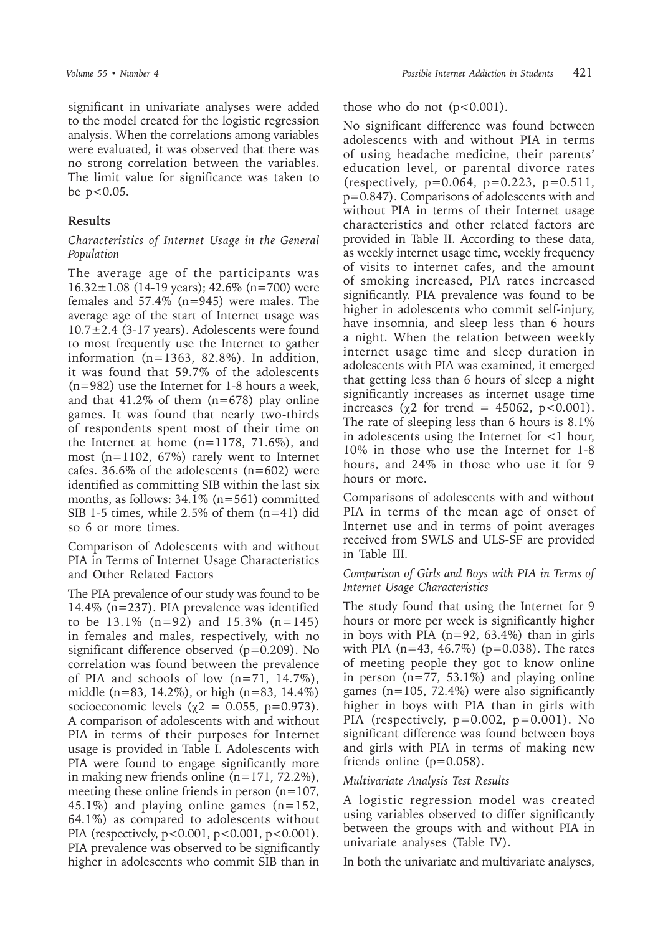significant in univariate analyses were added to the model created for the logistic regression analysis. When the correlations among variables were evaluated, it was observed that there was no strong correlation between the variables. The limit value for significance was taken to be p<0.05.

# **Results**

# *Characteristics of Internet Usage in the General Population*

The average age of the participants was  $16.32 \pm 1.08$  (14-19 years); 42.6% (n=700) were females and 57.4% (n=945) were males. The average age of the start of Internet usage was 10.7±2.4 (3-17 years). Adolescents were found to most frequently use the Internet to gather information (n=1363, 82.8%). In addition, it was found that 59.7% of the adolescents (n=982) use the Internet for 1-8 hours a week, and that  $41.2\%$  of them (n=678) play online games. It was found that nearly two-thirds of respondents spent most of their time on the Internet at home  $(n=1178, 71.6\%)$ , and most (n=1102, 67%) rarely went to Internet cafes. 36.6% of the adolescents  $(n=602)$  were identified as committing SIB within the last six months, as follows: 34.1% (n=561) committed SIB 1-5 times, while 2.5% of them (n=41) did so 6 or more times.

Comparison of Adolescents with and without PIA in Terms of Internet Usage Characteristics and Other Related Factors

The PIA prevalence of our study was found to be 14.4% (n=237). PIA prevalence was identified to be  $13.1\%$  (n=92) and  $15.3\%$  (n=145) in females and males, respectively, with no significant difference observed  $(p=0.209)$ . No correlation was found between the prevalence of PIA and schools of low  $(n=71, 14.7\%)$ , middle (n=83, 14.2%), or high (n=83, 14.4%) socioeconomic levels ( $\chi$ 2 = 0.055, p=0.973). A comparison of adolescents with and without PIA in terms of their purposes for Internet usage is provided in Table I. Adolescents with PIA were found to engage significantly more in making new friends online  $(n=171, 72.2\%)$ , meeting these online friends in person  $(n=107)$ , 45.1%) and playing online games  $(n=152,$ 64.1%) as compared to adolescents without PIA (respectively, p<0.001, p<0.001, p<0.001). PIA prevalence was observed to be significantly higher in adolescents who commit SIB than in

those who do not  $(p<0.001)$ .

No significant difference was found between adolescents with and without PIA in terms of using headache medicine, their parents' education level, or parental divorce rates  $(respectively, p=0.064, p=0.223, p=0.511,$ p=0.847). Comparisons of adolescents with and without PIA in terms of their Internet usage characteristics and other related factors are provided in Table II. According to these data, as weekly internet usage time, weekly frequency of visits to internet cafes, and the amount of smoking increased, PIA rates increased significantly. PIA prevalence was found to be higher in adolescents who commit self-injury, have insomnia, and sleep less than 6 hours a night. When the relation between weekly internet usage time and sleep duration in adolescents with PIA was examined, it emerged that getting less than 6 hours of sleep a night significantly increases as internet usage time increases ( $\chi$ 2 for trend = 45062, p<0.001). The rate of sleeping less than 6 hours is 8.1% in adolescents using the Internet for <1 hour, 10% in those who use the Internet for 1-8 hours, and 24% in those who use it for 9 hours or more.

Comparisons of adolescents with and without PIA in terms of the mean age of onset of Internet use and in terms of point averages received from SWLS and ULS-SF are provided in Table III.

# *Comparison of Girls and Boys with PIA in Terms of Internet Usage Characteristics*

The study found that using the Internet for 9 hours or more per week is significantly higher in boys with PIA  $(n=92, 63.4\%)$  than in girls with PIA ( $n=43$ , 46.7%) ( $p=0.038$ ). The rates of meeting people they got to know online in person  $(n=77, 53.1\%)$  and playing online games ( $n=105$ , 72.4%) were also significantly higher in boys with PIA than in girls with PIA (respectively,  $p=0.002$ ,  $p=0.001$ ). No significant difference was found between boys and girls with PIA in terms of making new friends online  $(p=0.058)$ .

### *Multivariate Analysis Test Results*

A logistic regression model was created using variables observed to differ significantly between the groups with and without PIA in univariate analyses (Table IV).

In both the univariate and multivariate analyses,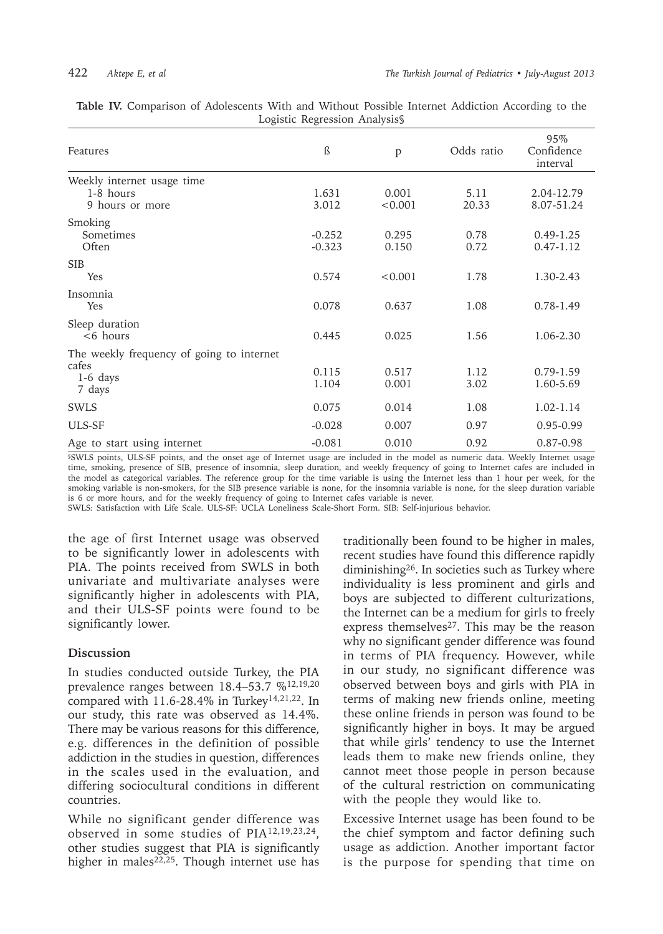| Features                                                                   | ß                    | p                | Odds ratio    | 95%<br>Confidence<br>interval  |
|----------------------------------------------------------------------------|----------------------|------------------|---------------|--------------------------------|
| Weekly internet usage time                                                 |                      |                  |               |                                |
| 1-8 hours<br>9 hours or more                                               | 1.631<br>3.012       | 0.001<br>< 0.001 | 5.11<br>20.33 | 2.04-12.79<br>8.07-51.24       |
| Smoking<br>Sometimes<br>Often                                              | $-0.252$<br>$-0.323$ | 0.295<br>0.150   | 0.78<br>0.72  | $0.49 - 1.25$<br>$0.47 - 1.12$ |
| <b>SIB</b><br>Yes                                                          | 0.574                | < 0.001          | 1.78          | 1.30-2.43                      |
| Insomnia<br>Yes                                                            | 0.078                | 0.637            | 1.08          | $0.78 - 1.49$                  |
| Sleep duration<br>$<$ 6 hours                                              | 0.445                | 0.025            | 1.56          | 1.06-2.30                      |
| The weekly frequency of going to internet<br>cafes<br>$1-6$ days<br>7 days | 0.115<br>1.104       | 0.517<br>0.001   | 1.12<br>3.02  | $0.79 - 1.59$<br>1.60-5.69     |
| <b>SWLS</b>                                                                | 0.075                | 0.014            | 1.08          | 1.02-1.14                      |
| ULS-SF                                                                     | $-0.028$             | 0.007            | 0.97          | 0.95-0.99                      |
| Age to start using internet                                                | $-0.081$             | 0.010            | 0.92          | 0.87-0.98                      |

**Table IV.** Comparison of Adolescents With and Without Possible Internet Addiction According to the Logistic Regression Analysis§

§SWLS points, ULS-SF points, and the onset age of Internet usage are included in the model as numeric data. Weekly Internet usage time, smoking, presence of SIB, presence of insomnia, sleep duration, and weekly frequency of going to Internet cafes are included in the model as categorical variables. The reference group for the time variable is using the Internet less than 1 hour per week, for the smoking variable is non-smokers, for the SIB presence variable is none, for the insomnia variable is none, for the sleep duration variable is 6 or more hours, and for the weekly frequency of going to Internet cafes variable is never.

SWLS: Satisfaction with Life Scale. ULS-SF: UCLA Loneliness Scale-Short Form. SIB: Self-injurious behavior.

the age of first Internet usage was observed to be significantly lower in adolescents with PIA. The points received from SWLS in both univariate and multivariate analyses were significantly higher in adolescents with PIA, and their ULS-SF points were found to be significantly lower.

### **Discussion**

In studies conducted outside Turkey, the PIA prevalence ranges between 18.4–53.7 %12,19,20 compared with 11.6-28.4% in Turkey<sup>14,21,22</sup>. In our study, this rate was observed as 14.4%. There may be various reasons for this difference, e.g. differences in the definition of possible addiction in the studies in question, differences in the scales used in the evaluation, and differing sociocultural conditions in different countries.

While no significant gender difference was observed in some studies of PIA12,19,23,24, other studies suggest that PIA is significantly higher in males<sup>22,25</sup>. Though internet use has

traditionally been found to be higher in males, recent studies have found this difference rapidly diminishing26. In societies such as Turkey where individuality is less prominent and girls and boys are subjected to different culturizations, the Internet can be a medium for girls to freely express themselves<sup>27</sup>. This may be the reason why no significant gender difference was found in terms of PIA frequency. However, while in our study, no significant difference was observed between boys and girls with PIA in terms of making new friends online, meeting these online friends in person was found to be significantly higher in boys. It may be argued that while girls' tendency to use the Internet leads them to make new friends online, they cannot meet those people in person because of the cultural restriction on communicating with the people they would like to.

Excessive Internet usage has been found to be the chief symptom and factor defining such usage as addiction. Another important factor is the purpose for spending that time on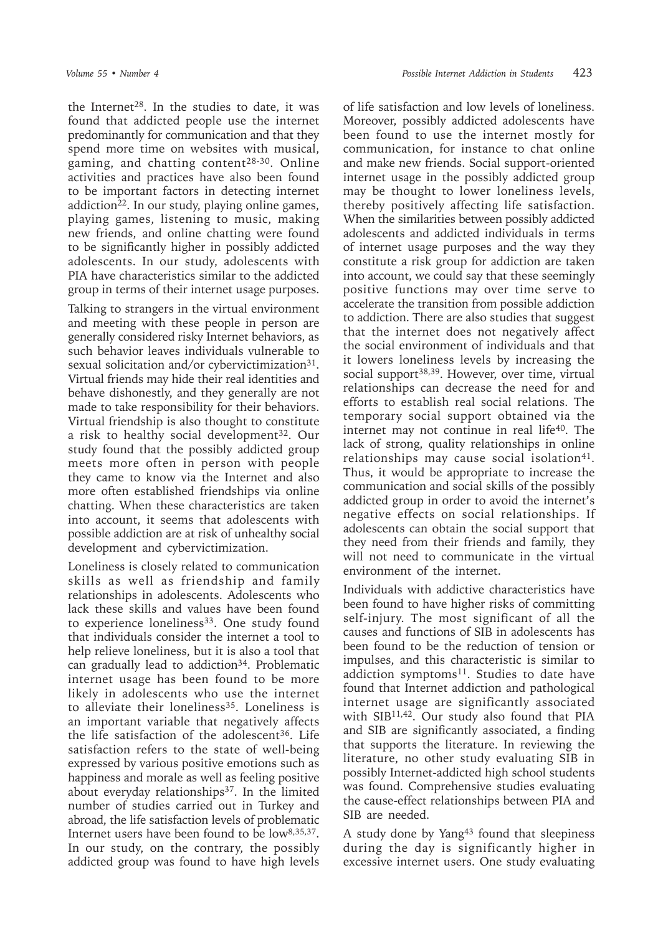the Internet<sup>28</sup>. In the studies to date, it was found that addicted people use the internet predominantly for communication and that they spend more time on websites with musical, gaming, and chatting content28-30. Online activities and practices have also been found to be important factors in detecting internet addiction $22$ . In our study, playing online games, playing games, listening to music, making new friends, and online chatting were found to be significantly higher in possibly addicted adolescents. In our study, adolescents with PIA have characteristics similar to the addicted group in terms of their internet usage purposes.

Talking to strangers in the virtual environment and meeting with these people in person are generally considered risky Internet behaviors, as such behavior leaves individuals vulnerable to sexual solicitation and/or cybervictimization<sup>31</sup>. Virtual friends may hide their real identities and behave dishonestly, and they generally are not made to take responsibility for their behaviors. Virtual friendship is also thought to constitute a risk to healthy social development<sup>32</sup>. Our study found that the possibly addicted group meets more often in person with people they came to know via the Internet and also more often established friendships via online chatting. When these characteristics are taken into account, it seems that adolescents with possible addiction are at risk of unhealthy social development and cybervictimization.

Loneliness is closely related to communication skills as well as friendship and family relationships in adolescents. Adolescents who lack these skills and values have been found to experience loneliness<sup>33</sup>. One study found that individuals consider the internet a tool to help relieve loneliness, but it is also a tool that can gradually lead to addiction<sup>34</sup>. Problematic internet usage has been found to be more likely in adolescents who use the internet to alleviate their loneliness<sup>35</sup>. Loneliness is an important variable that negatively affects the life satisfaction of the adolescent<sup>36</sup>. Life satisfaction refers to the state of well-being expressed by various positive emotions such as happiness and morale as well as feeling positive about everyday relationships<sup>37</sup>. In the limited number of studies carried out in Turkey and abroad, the life satisfaction levels of problematic Internet users have been found to be low8,35,37. In our study, on the contrary, the possibly addicted group was found to have high levels

of life satisfaction and low levels of loneliness. Moreover, possibly addicted adolescents have been found to use the internet mostly for communication, for instance to chat online and make new friends. Social support-oriented internet usage in the possibly addicted group may be thought to lower loneliness levels, thereby positively affecting life satisfaction. When the similarities between possibly addicted adolescents and addicted individuals in terms of internet usage purposes and the way they constitute a risk group for addiction are taken into account, we could say that these seemingly positive functions may over time serve to accelerate the transition from possible addiction to addiction. There are also studies that suggest that the internet does not negatively affect the social environment of individuals and that it lowers loneliness levels by increasing the social support<sup>38,39</sup>. However, over time, virtual relationships can decrease the need for and efforts to establish real social relations. The temporary social support obtained via the internet may not continue in real life $40$ . The lack of strong, quality relationships in online relationships may cause social isolation<sup>41</sup>. Thus, it would be appropriate to increase the communication and social skills of the possibly addicted group in order to avoid the internet's negative effects on social relationships. If adolescents can obtain the social support that they need from their friends and family, they will not need to communicate in the virtual environment of the internet.

Individuals with addictive characteristics have been found to have higher risks of committing self-injury. The most significant of all the causes and functions of SIB in adolescents has been found to be the reduction of tension or impulses, and this characteristic is similar to addiction symptoms<sup>11</sup>. Studies to date have found that Internet addiction and pathological internet usage are significantly associated with  $SIB<sup>11,42</sup>$ . Our study also found that PIA and SIB are significantly associated, a finding that supports the literature. In reviewing the literature, no other study evaluating SIB in possibly Internet-addicted high school students was found. Comprehensive studies evaluating the cause-effect relationships between PIA and SIB are needed.

A study done by Yang43 found that sleepiness during the day is significantly higher in excessive internet users. One study evaluating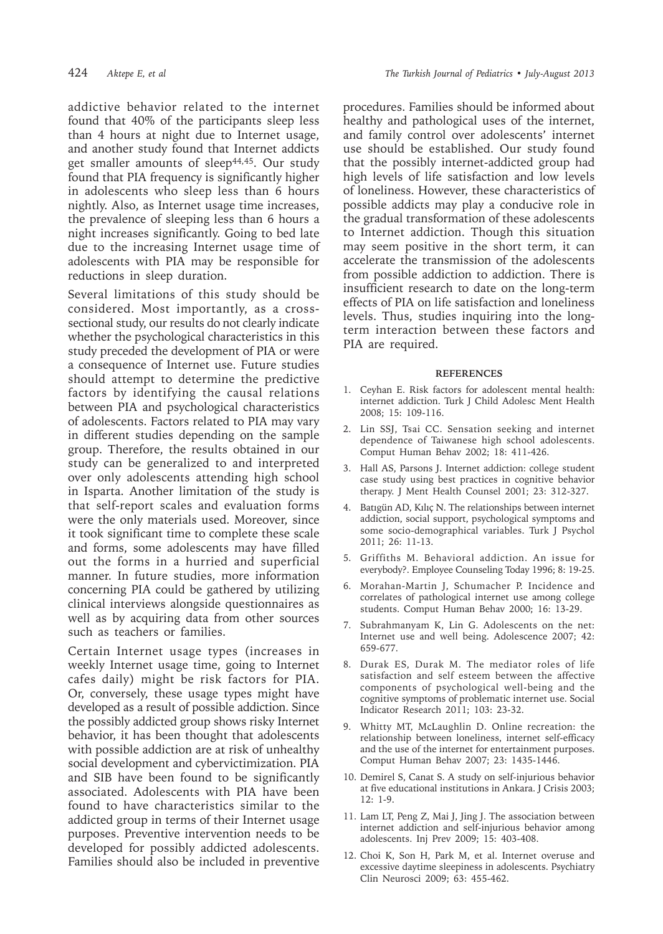addictive behavior related to the internet found that 40% of the participants sleep less than 4 hours at night due to Internet usage, and another study found that Internet addicts get smaller amounts of sleep<sup>44,45</sup>. Our study found that PIA frequency is significantly higher in adolescents who sleep less than 6 hours nightly. Also, as Internet usage time increases, the prevalence of sleeping less than 6 hours a night increases significantly. Going to bed late due to the increasing Internet usage time of adolescents with PIA may be responsible for reductions in sleep duration.

Several limitations of this study should be considered. Most importantly, as a crosssectional study, our results do not clearly indicate whether the psychological characteristics in this study preceded the development of PIA or were a consequence of Internet use. Future studies should attempt to determine the predictive factors by identifying the causal relations between PIA and psychological characteristics of adolescents. Factors related to PIA may vary in different studies depending on the sample group. Therefore, the results obtained in our study can be generalized to and interpreted over only adolescents attending high school in Isparta. Another limitation of the study is that self-report scales and evaluation forms were the only materials used. Moreover, since it took significant time to complete these scale and forms, some adolescents may have filled out the forms in a hurried and superficial manner. In future studies, more information concerning PIA could be gathered by utilizing clinical interviews alongside questionnaires as well as by acquiring data from other sources such as teachers or families.

Certain Internet usage types (increases in weekly Internet usage time, going to Internet cafes daily) might be risk factors for PIA. Or, conversely, these usage types might have developed as a result of possible addiction. Since the possibly addicted group shows risky Internet behavior, it has been thought that adolescents with possible addiction are at risk of unhealthy social development and cybervictimization. PIA and SIB have been found to be significantly associated. Adolescents with PIA have been found to have characteristics similar to the addicted group in terms of their Internet usage purposes. Preventive intervention needs to be developed for possibly addicted adolescents. Families should also be included in preventive

procedures. Families should be informed about healthy and pathological uses of the internet, and family control over adolescents' internet use should be established. Our study found that the possibly internet-addicted group had high levels of life satisfaction and low levels of loneliness. However, these characteristics of possible addicts may play a conducive role in the gradual transformation of these adolescents to Internet addiction. Though this situation may seem positive in the short term, it can accelerate the transmission of the adolescents from possible addiction to addiction. There is insufficient research to date on the long-term effects of PIA on life satisfaction and loneliness levels. Thus, studies inquiring into the longterm interaction between these factors and PIA are required.

#### **REFERENCES**

- 1. Ceyhan E. Risk factors for adolescent mental health: internet addiction. Turk J Child Adolesc Ment Health 2008; 15: 109-116.
- 2. Lin SSJ, Tsai CC. Sensation seeking and internet dependence of Taiwanese high school adolescents. Comput Human Behav 2002; 18: 411-426.
- 3. Hall AS, Parsons J. Internet addiction: college student case study using best practices in cognitive behavior therapy. J Ment Health Counsel 2001; 23: 312-327.
- 4. Batıgün AD, Kılıç N. The relationships between internet addiction, social support, psychological symptoms and some socio-demographical variables. Turk J Psychol 2011; 26: 11-13.
- 5. Griffiths M. Behavioral addiction. An issue for everybody?. Employee Counseling Today 1996; 8: 19-25.
- 6. Morahan-Martin J, Schumacher P. Incidence and correlates of pathological internet use among college students. Comput Human Behav 2000; 16: 13-29.
- 7. Subrahmanyam K, Lin G. Adolescents on the net: Internet use and well being. Adolescence 2007; 42: 659-677.
- 8. Durak ES, Durak M. The mediator roles of life satisfaction and self esteem between the affective components of psychological well-being and the cognitive symptoms of problematic internet use. Social Indicator Research 2011; 103: 23-32.
- 9. Whitty MT, McLaughlin D. Online recreation: the relationship between loneliness, internet self-efficacy and the use of the internet for entertainment purposes. Comput Human Behav 2007; 23: 1435-1446.
- 10. Demirel S, Canat S. A study on self-injurious behavior at five educational institutions in Ankara. J Crisis 2003; 12: 1-9.
- 11. Lam LT, Peng Z, Mai J, Jing J. The association between internet addiction and self-injurious behavior among adolescents. Inj Prev 2009; 15: 403-408.
- 12. Choi K, Son H, Park M, et al. Internet overuse and excessive daytime sleepiness in adolescents. Psychiatry Clin Neurosci 2009; 63: 455-462.